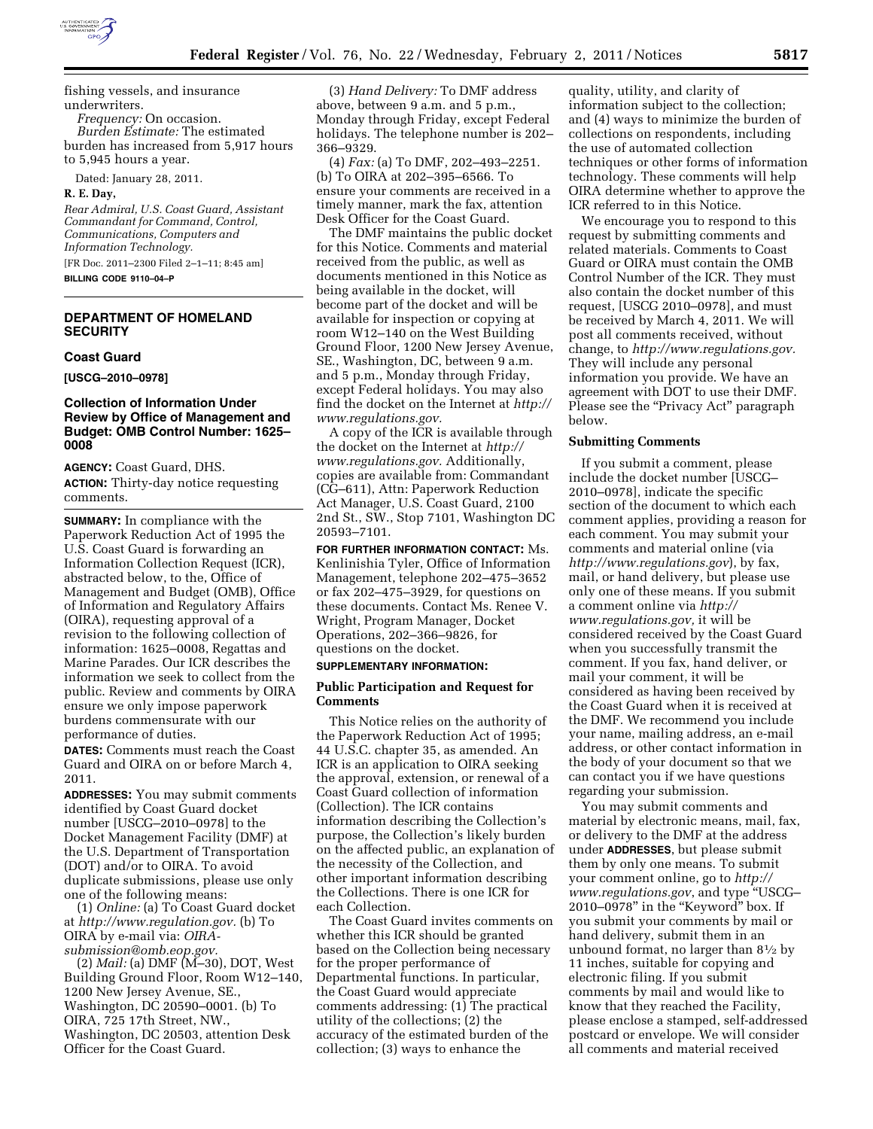

fishing vessels, and insurance underwriters. *Frequency:* On occasion.

*Burden Estimate:* The estimated burden has increased from 5,917 hours to 5,945 hours a year.

Dated: January 28, 2011.

**R. E. Day,** 

*Rear Admiral, U.S. Coast Guard, Assistant Commandant for Command, Control, Communications, Computers and Information Technology.* 

[FR Doc. 2011–2300 Filed 2–1–11; 8:45 am] **BILLING CODE 9110–04–P** 

# **DEPARTMENT OF HOMELAND SECURITY**

### **Coast Guard**

**[USCG–2010–0978]** 

## **Collection of Information Under Review by Office of Management and Budget: OMB Control Number: 1625– 0008**

**AGENCY:** Coast Guard, DHS. **ACTION:** Thirty-day notice requesting comments.

**SUMMARY:** In compliance with the Paperwork Reduction Act of 1995 the U.S. Coast Guard is forwarding an Information Collection Request (ICR), abstracted below, to the, Office of Management and Budget (OMB), Office of Information and Regulatory Affairs (OIRA), requesting approval of a revision to the following collection of information: 1625–0008, Regattas and Marine Parades. Our ICR describes the information we seek to collect from the public. Review and comments by OIRA ensure we only impose paperwork burdens commensurate with our performance of duties.

**DATES:** Comments must reach the Coast Guard and OIRA on or before March 4, 2011.

**ADDRESSES:** You may submit comments identified by Coast Guard docket number [USCG–2010–0978] to the Docket Management Facility (DMF) at the U.S. Department of Transportation (DOT) and/or to OIRA. To avoid duplicate submissions, please use only one of the following means:

(1) *Online:* (a) To Coast Guard docket at *[http://www.regulation.gov.](http://www.regulation.gov)* (b) To OIRA by e-mail via: *[OIRA](mailto:OIRA-submission@omb.eop.gov)[submission@omb.eop.gov.](mailto:OIRA-submission@omb.eop.gov)* 

(2) *Mail:* (a) DMF (M–30), DOT, West Building Ground Floor, Room W12–140, 1200 New Jersey Avenue, SE., Washington, DC 20590–0001. (b) To OIRA, 725 17th Street, NW., Washington, DC 20503, attention Desk Officer for the Coast Guard.

(3) *Hand Delivery:* To DMF address above, between 9 a.m. and 5 p.m., Monday through Friday, except Federal holidays. The telephone number is 202– 366–9329.

(4) *Fax:* (a) To DMF, 202–493–2251. (b) To OIRA at 202–395–6566. To ensure your comments are received in a timely manner, mark the fax, attention Desk Officer for the Coast Guard.

The DMF maintains the public docket for this Notice. Comments and material received from the public, as well as documents mentioned in this Notice as being available in the docket, will become part of the docket and will be available for inspection or copying at room W12–140 on the West Building Ground Floor, 1200 New Jersey Avenue, SE., Washington, DC, between 9 a.m. and 5 p.m., Monday through Friday, except Federal holidays. You may also find the docket on the Internet at *[http://](http://www.regulations.gov)  [www.regulations.gov.](http://www.regulations.gov)* 

A copy of the ICR is available through the docket on the Internet at *[http://](http://www.regulations.gov) [www.regulations.gov.](http://www.regulations.gov)* Additionally, copies are available from: Commandant (CG–611), Attn: Paperwork Reduction Act Manager, U.S. Coast Guard, 2100 2nd St., SW., Stop 7101, Washington DC 20593–7101.

**FOR FURTHER INFORMATION CONTACT:** Ms. Kenlinishia Tyler, Office of Information Management, telephone 202–475–3652 or fax 202–475–3929, for questions on these documents. Contact Ms. Renee V. Wright, Program Manager, Docket Operations, 202–366–9826, for questions on the docket.

## **SUPPLEMENTARY INFORMATION:**

### **Public Participation and Request for Comments**

This Notice relies on the authority of the Paperwork Reduction Act of 1995; 44 U.S.C. chapter 35, as amended. An ICR is an application to OIRA seeking the approval, extension, or renewal of a Coast Guard collection of information (Collection). The ICR contains information describing the Collection's purpose, the Collection's likely burden on the affected public, an explanation of the necessity of the Collection, and other important information describing the Collections. There is one ICR for each Collection.

The Coast Guard invites comments on whether this ICR should be granted based on the Collection being necessary for the proper performance of Departmental functions. In particular, the Coast Guard would appreciate comments addressing: (1) The practical utility of the collections; (2) the accuracy of the estimated burden of the collection; (3) ways to enhance the

quality, utility, and clarity of information subject to the collection; and (4) ways to minimize the burden of collections on respondents, including the use of automated collection techniques or other forms of information technology. These comments will help OIRA determine whether to approve the ICR referred to in this Notice.

We encourage you to respond to this request by submitting comments and related materials. Comments to Coast Guard or OIRA must contain the OMB Control Number of the ICR. They must also contain the docket number of this request, [USCG 2010–0978], and must be received by March 4, 2011. We will post all comments received, without change, to *[http://www.regulations.gov.](http://www.regulations.gov)*  They will include any personal information you provide. We have an agreement with DOT to use their DMF. Please see the "Privacy Act" paragraph below.

### **Submitting Comments**

If you submit a comment, please include the docket number [USCG– 2010–0978], indicate the specific section of the document to which each comment applies, providing a reason for each comment. You may submit your comments and material online (via *<http://www.regulations.gov>*), by fax, mail, or hand delivery, but please use only one of these means. If you submit a comment online via *[http://](http://www.regulations.gov) [www.regulations.gov,](http://www.regulations.gov)* it will be considered received by the Coast Guard when you successfully transmit the comment. If you fax, hand deliver, or mail your comment, it will be considered as having been received by the Coast Guard when it is received at the DMF. We recommend you include your name, mailing address, an e-mail address, or other contact information in the body of your document so that we can contact you if we have questions regarding your submission.

You may submit comments and material by electronic means, mail, fax, or delivery to the DMF at the address under **ADDRESSES**, but please submit them by only one means. To submit your comment online, go to *[http://](http://www.regulations.gov)  [www.regulations.gov](http://www.regulations.gov)*, and type ''USCG– 2010–0978'' in the ''Keyword'' box. If you submit your comments by mail or hand delivery, submit them in an unbound format, no larger than 81⁄2 by 11 inches, suitable for copying and electronic filing. If you submit comments by mail and would like to know that they reached the Facility, please enclose a stamped, self-addressed postcard or envelope. We will consider all comments and material received